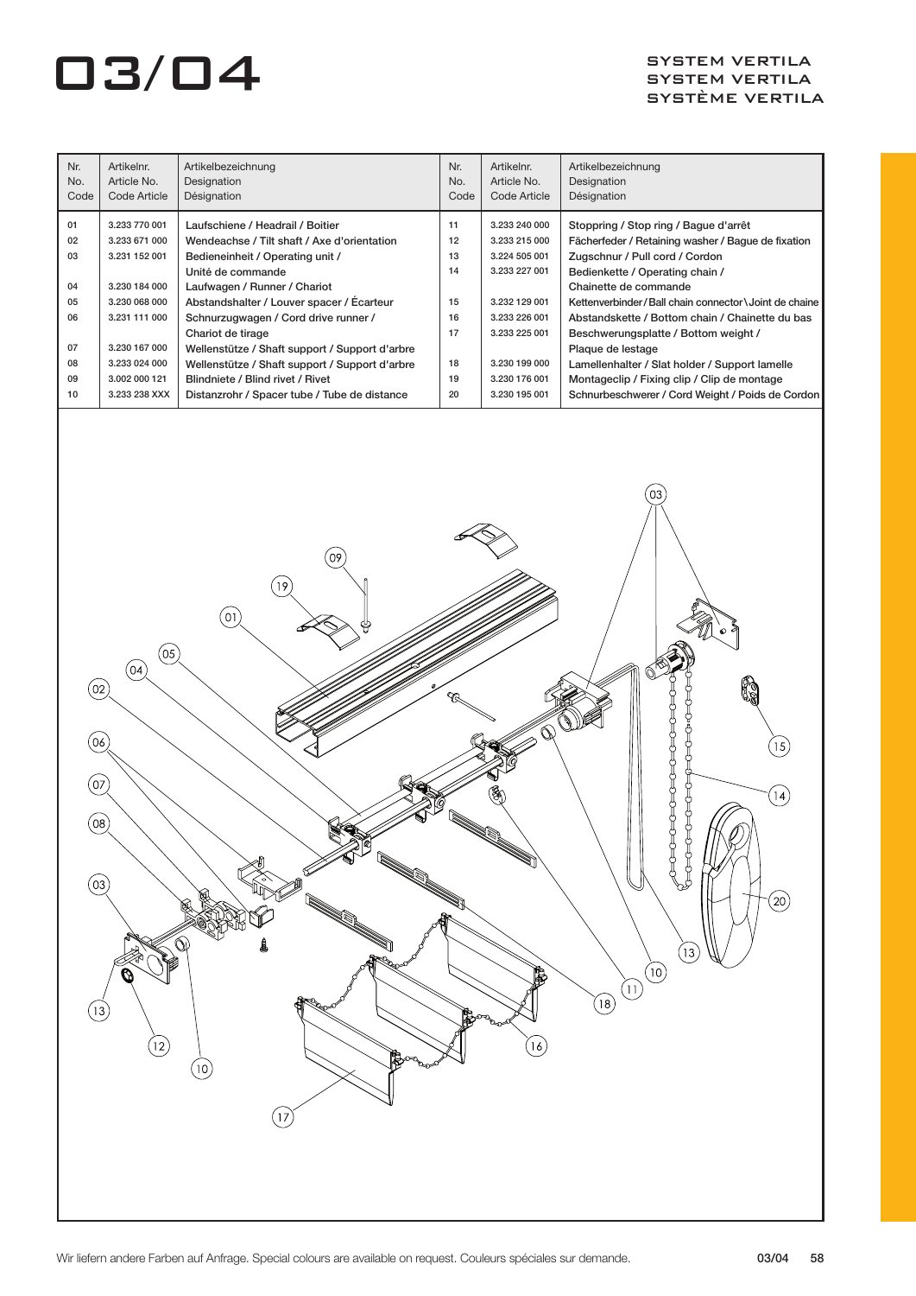| Nr.<br>No.<br>Code | Artikelnr.<br>Article No.<br>Code Article | Artikelbezeichnung<br>Designation<br>Désignation | Nr.<br>No.<br>Code | Artikelnr.<br>Article No.<br>Code Article | Artikelbezeichnung<br>Designation<br>Désignation         |
|--------------------|-------------------------------------------|--------------------------------------------------|--------------------|-------------------------------------------|----------------------------------------------------------|
| 01                 | 3.233 770 001                             | Laufschiene / Headrail / Boitier                 | 11                 | 3.233 240 000                             | Stoppring / Stop ring / Baque d'arrêt                    |
| 02                 | 3.233 671 000                             | Wendeachse / Tilt shaft / Axe d'orientation      | 12                 | 3.233 215 000                             | Fächerfeder / Retaining washer / Bague de fixation       |
| 03                 | 3.231 152 001                             | Bedieneinheit / Operating unit /                 | 13                 | 3.224 505 001                             | Zugschnur / Pull cord / Cordon                           |
|                    |                                           | Unité de commande                                | 14                 | 3.233 227 001                             | Bedienkette / Operating chain /                          |
| 04                 | 3.230 184 000                             | Laufwagen / Runner / Chariot                     |                    |                                           | Chainette de commande                                    |
| 05                 | 3.230 068 000                             | Abstandshalter / Louver spacer / Écarteur        | 15                 | 3.232 129 001                             | Kettenverbinder/Ball chain connector \ Joint de chaine I |
| 06                 | 3.231 111 000                             | Schnurzugwagen / Cord drive runner /             | 16                 | 3.233 226 001                             | Abstandskette / Bottom chain / Chainette du bas          |
|                    |                                           | Chariot de tirage                                | 17                 | 3.233 225 001                             | Beschwerungsplatte / Bottom weight /                     |
| 07                 | 3.230 167 000                             | Wellenstütze / Shaft support / Support d'arbre   |                    |                                           | Plaque de lestage                                        |
| 08                 | 3.233 024 000                             | Wellenstütze / Shaft support / Support d'arbre   | 18                 | 3.230 199 000                             | Lamellenhalter / Slat holder / Support lamelle           |
| 09                 | 3.002 000 121                             | Blindniete / Blind rivet / Rivet                 | 19                 | 3.230 176 001                             | Montageclip / Fixing clip / Clip de montage              |
| 10                 | 3.233 238 XXX                             | Distanzrohr / Spacer tube / Tube de distance     | 20                 | 3.230 195 001                             | Schnurbeschwerer / Cord Weight / Poids de Cordon         |

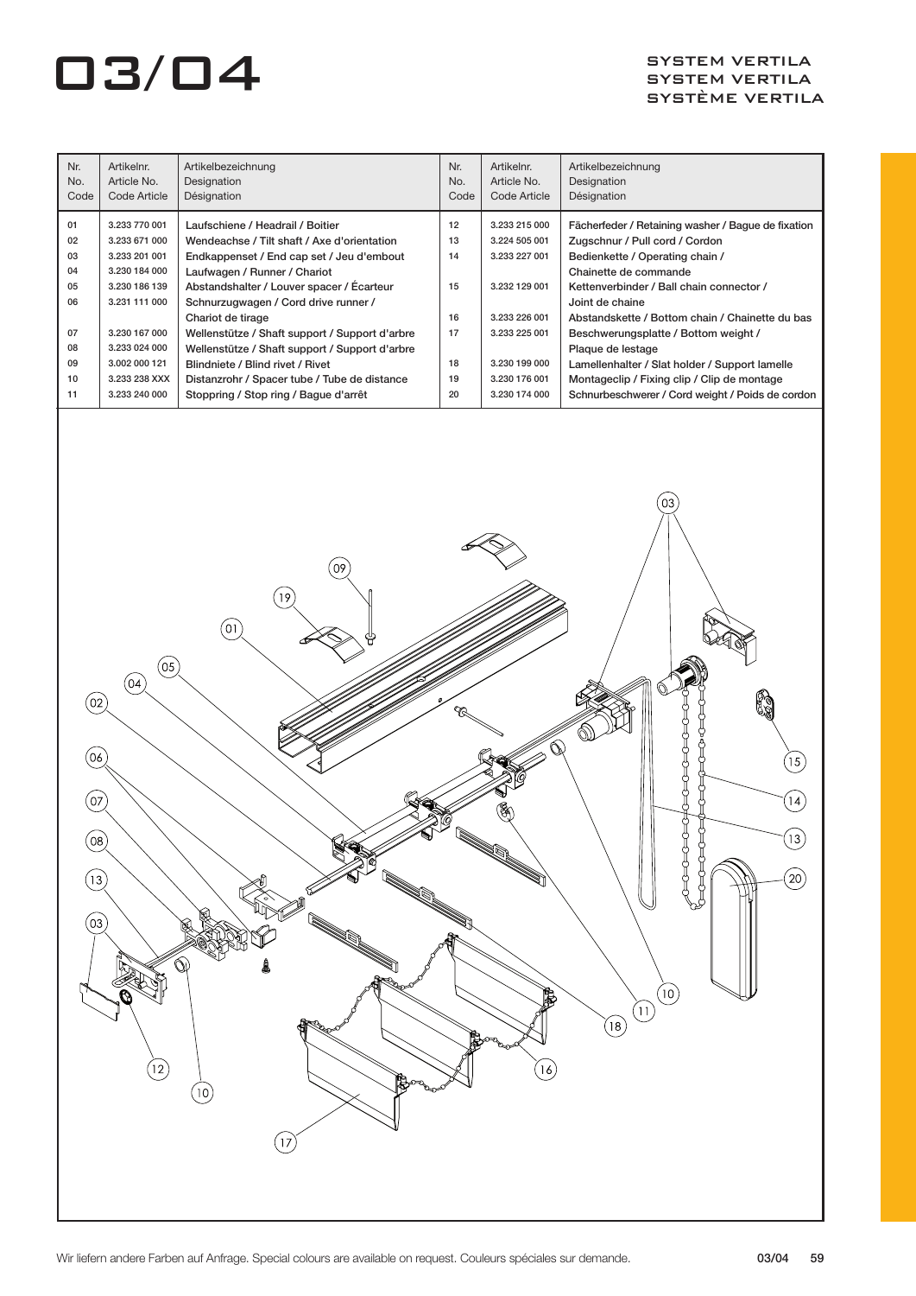| Nr.<br>No.<br>Code                                             | Artikelnr.<br>Article No.<br>Code Article                                                                                                                                               | Artikelbezeichnung<br>Designation<br>Désignation                                                                                                                                                                                                                                                                                                                                                                                                                                                        | Nr.<br>No.<br>Code                                 | Artikelnr.<br>Article No.<br>Code Article                                                                                                             | Artikelbezeichnung<br>Designation<br>Désignation                                                                                                                                                                                                                                                                                                                                                                                                                                     |
|----------------------------------------------------------------|-----------------------------------------------------------------------------------------------------------------------------------------------------------------------------------------|---------------------------------------------------------------------------------------------------------------------------------------------------------------------------------------------------------------------------------------------------------------------------------------------------------------------------------------------------------------------------------------------------------------------------------------------------------------------------------------------------------|----------------------------------------------------|-------------------------------------------------------------------------------------------------------------------------------------------------------|--------------------------------------------------------------------------------------------------------------------------------------------------------------------------------------------------------------------------------------------------------------------------------------------------------------------------------------------------------------------------------------------------------------------------------------------------------------------------------------|
| 01<br>02<br>03<br>04<br>05<br>06<br>07<br>08<br>09<br>10<br>11 | 3.233 770 001<br>3.233 671 000<br>3.233 201 001<br>3.230 184 000<br>3.230 186 139<br>3.231 111 000<br>3.230 167 000<br>3.233 024 000<br>3.002 000 121<br>3.233 238 XXX<br>3.233 240 000 | Laufschiene / Headrail / Boitier<br>Wendeachse / Tilt shaft / Axe d'orientation<br>Endkappenset / End cap set / Jeu d'embout<br>Laufwagen / Runner / Chariot<br>Abstandshalter / Louver spacer / Ecarteur<br>Schnurzugwagen / Cord drive runner /<br>Chariot de tirage<br>Wellenstütze / Shaft support / Support d'arbre<br>Wellenstütze / Shaft support / Support d'arbre<br>Blindniete / Blind rivet / Rivet<br>Distanzrohr / Spacer tube / Tube de distance<br>Stoppring / Stop ring / Bague d'arrêt | 12<br>13<br>14<br>15<br>16<br>17<br>18<br>19<br>20 | 3.233 215 000<br>3.224 505 001<br>3.233 227 001<br>3.232 129 001<br>3.233 226 001<br>3.233 225 001<br>3.230 199 000<br>3.230 176 001<br>3.230 174 000 | Fächerfeder / Retaining washer / Bague de fixation<br>Zugschnur / Pull cord / Cordon<br>Bedienkette / Operating chain /<br>Chainette de commande<br>Kettenverbinder / Ball chain connector /<br>Joint de chaine<br>Abstandskette / Bottom chain / Chainette du bas<br>Beschwerungsplatte / Bottom weight /<br>Plaque de lestage<br>Lamellenhalter / Slat holder / Support lamelle<br>Montageclip / Fixing clip / Clip de montage<br>Schnurbeschwerer / Cord weight / Poids de cordon |
|                                                                |                                                                                                                                                                                         |                                                                                                                                                                                                                                                                                                                                                                                                                                                                                                         |                                                    |                                                                                                                                                       | 03                                                                                                                                                                                                                                                                                                                                                                                                                                                                                   |

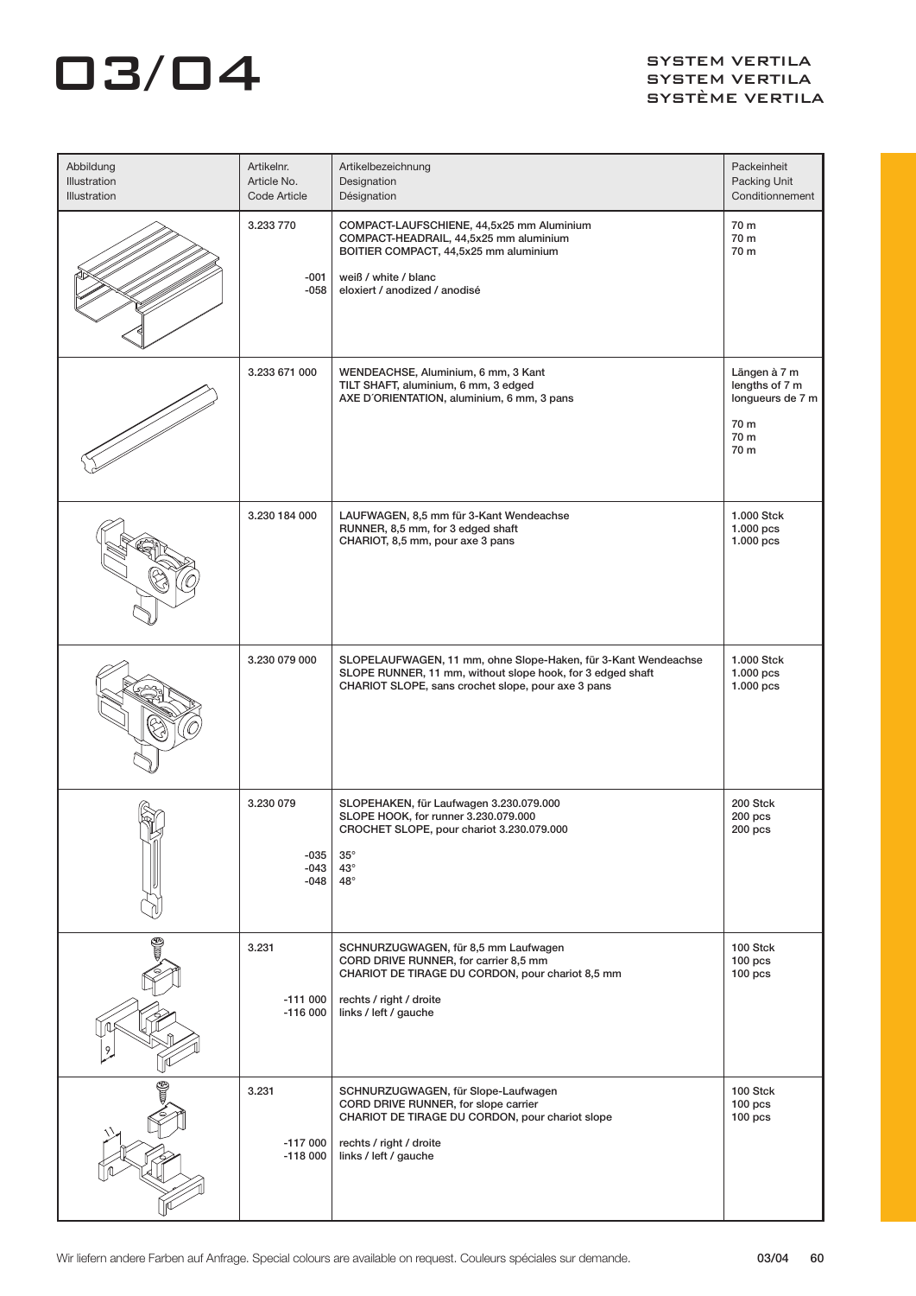| Abbildung<br>Illustration<br>Illustration | Artikelnr.<br>Article No.<br>Code Article | Artikelbezeichnung<br>Designation<br>Désignation                                                                                                                                      | Packeinheit<br>Packing Unit<br>Conditionnement                             |
|-------------------------------------------|-------------------------------------------|---------------------------------------------------------------------------------------------------------------------------------------------------------------------------------------|----------------------------------------------------------------------------|
|                                           | 3.233 770<br>$-001$<br>$-058$             | COMPACT-LAUFSCHIENE, 44,5x25 mm Aluminium<br>COMPACT-HEADRAIL, 44,5x25 mm aluminium<br>BOITIER COMPACT, 44,5x25 mm aluminium<br>weiß / white / blanc<br>eloxiert / anodized / anodisé | 70 m<br>70 m<br>70 m                                                       |
|                                           | 3.233 671 000                             | WENDEACHSE, Aluminium, 6 mm, 3 Kant<br>TILT SHAFT, aluminium, 6 mm, 3 edged<br>AXE D'ORIENTATION, aluminium, 6 mm, 3 pans                                                             | Längen à 7 m<br>lengths of 7 m<br>longueurs de 7 m<br>70 m<br>70 m<br>70 m |
|                                           | 3.230 184 000                             | LAUFWAGEN, 8,5 mm für 3-Kant Wendeachse<br>RUNNER, 8,5 mm, for 3 edged shaft<br>CHARIOT, 8,5 mm, pour axe 3 pans                                                                      | 1.000 Stck<br>$1.000$ pcs<br>1.000 pcs                                     |
|                                           | 3.230 079 000                             | SLOPELAUFWAGEN, 11 mm, ohne Slope-Haken, für 3-Kant Wendeachse<br>SLOPE RUNNER, 11 mm, without slope hook, for 3 edged shaft<br>CHARIOT SLOPE, sans crochet slope, pour axe 3 pans    | 1.000 Stck<br>1.000 pcs<br>$1.000$ pcs                                     |
|                                           | 3.230 079<br>-035<br>-043<br>-048         | SLOPEHAKEN, für Laufwagen 3.230.079.000<br>SLOPE HOOK, for runner 3.230.079.000<br>CROCHET SLOPE, pour chariot 3.230.079.000<br>$35^\circ$<br>$43^\circ$<br>$48^\circ$                | 200 Stck<br>$200$ pcs<br>200 pcs                                           |
| 9                                         | 3.231<br>$-111000$<br>$-116000$           | SCHNURZUGWAGEN, für 8,5 mm Laufwagen<br>CORD DRIVE RUNNER, for carrier 8,5 mm<br>CHARIOT DE TIRAGE DU CORDON, pour chariot 8,5 mm<br>rechts / right / droite<br>links / left / gauche | 100 Stck<br>$100$ pcs<br>$100$ pcs                                         |
|                                           | 3.231<br>$-117000$<br>$-118000$           | SCHNURZUGWAGEN, für Slope-Laufwagen<br>CORD DRIVE RUNNER, for slope carrier<br>CHARIOT DE TIRAGE DU CORDON, pour chariot slope<br>rechts / right / droite<br>links / left / gauche    | 100 Stck<br>$100$ pcs<br>$100$ pcs                                         |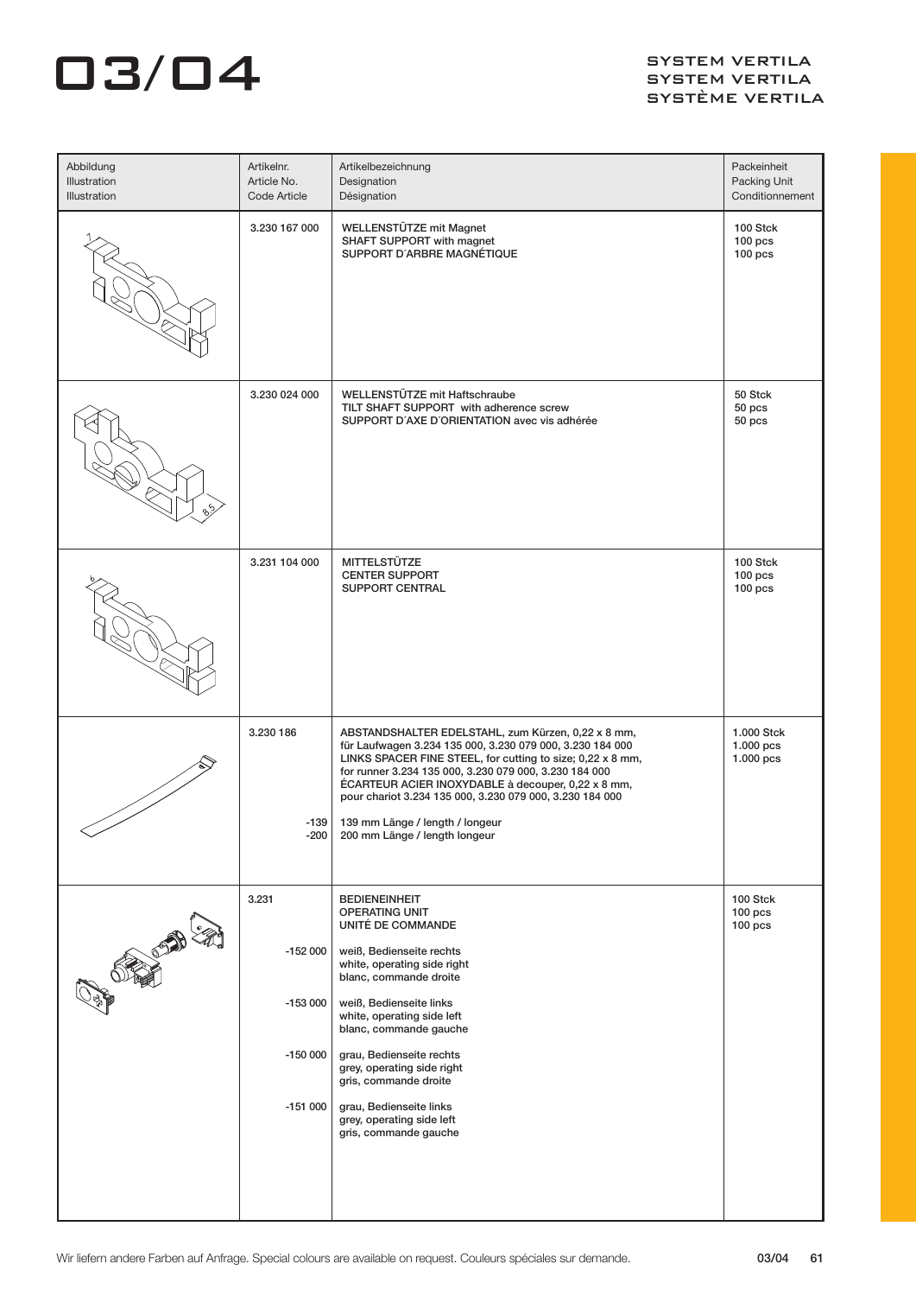| Abbildung<br>Illustration<br>Illustration | Artikelnr.<br>Article No.<br>Code Article                 | Artikelbezeichnung<br>Designation<br>Désignation                                                                                                                                                                                                                                                                                                                                                                              | Packeinheit<br>Packing Unit<br>Conditionnement |
|-------------------------------------------|-----------------------------------------------------------|-------------------------------------------------------------------------------------------------------------------------------------------------------------------------------------------------------------------------------------------------------------------------------------------------------------------------------------------------------------------------------------------------------------------------------|------------------------------------------------|
|                                           | 3.230 167 000                                             | <b>WELLENSTÜTZE mit Magnet</b><br>SHAFT SUPPORT with magnet<br>SUPPORT D'ARBRE MAGNÉTIQUE                                                                                                                                                                                                                                                                                                                                     | 100 Stck<br>$100$ pcs<br>$100$ pcs             |
|                                           | 3.230 024 000                                             | WELLENSTÜTZE mit Haftschraube<br>TILT SHAFT SUPPORT with adherence screw<br>SUPPORT D'AXE D'ORIENTATION avec vis adhérée                                                                                                                                                                                                                                                                                                      | 50 Stck<br>50 pcs<br>50 pcs                    |
|                                           | 3.231 104 000                                             | MITTELSTÜTZE<br><b>CENTER SUPPORT</b><br><b>SUPPORT CENTRAL</b>                                                                                                                                                                                                                                                                                                                                                               | 100 Stck<br>$100$ pcs<br>$100$ pcs             |
|                                           | 3.230 186<br>$-139$<br>$-200$                             | ABSTANDSHALTER EDELSTAHL, zum Kürzen, 0,22 x 8 mm,<br>für Laufwagen 3.234 135 000, 3.230 079 000, 3.230 184 000<br>LINKS SPACER FINE STEEL, for cutting to size; 0,22 x 8 mm,<br>for runner 3.234 135 000, 3.230 079 000, 3.230 184 000<br>ÉCARTEUR ACIER INOXYDABLE à decouper, 0,22 x 8 mm,<br>pour chariot 3.234 135 000, 3.230 079 000, 3.230 184 000<br>139 mm Länge / length / longeur<br>200 mm Länge / length longeur | 1.000 Stck<br>1.000 pcs<br>1.000 pcs           |
| <b>OFFICE OF THE</b>                      | 3.231<br>$-152000$<br>$-153000$<br>$-150000$<br>$-151000$ | <b>BEDIENEINHEIT</b><br><b>OPERATING UNIT</b><br>UNITÉ DE COMMANDE<br>weiß, Bedienseite rechts<br>white, operating side right<br>blanc, commande droite<br>weiß, Bedienseite links<br>white, operating side left<br>blanc, commande gauche<br>grau, Bedienseite rechts<br>grey, operating side right<br>gris, commande droite<br>grau, Bedienseite links<br>grey, operating side left<br>gris, commande gauche                | 100 Stck<br>100 <sub>pos</sub><br>$100$ pcs    |